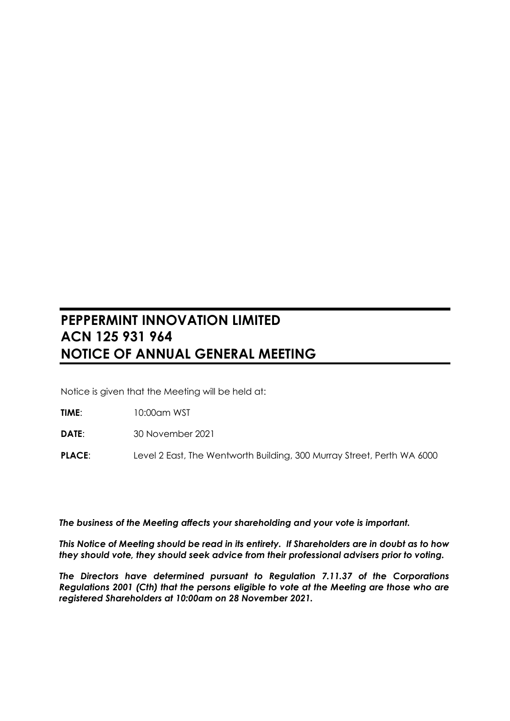# **PEPPERMINT INNOVATION LIMITED ACN 125 931 964 NOTICE OF ANNUAL GENERAL MEETING**

Notice is given that the Meeting will be held at:

**TIME**: 10:00am WST

**DATE**: 30 November 2021

**PLACE:** Level 2 East, The Wentworth Building, 300 Murray Street, Perth WA 6000

*The business of the Meeting affects your shareholding and your vote is important.*

*This Notice of Meeting should be read in its entirety. If Shareholders are in doubt as to how they should vote, they should seek advice from their professional advisers prior to voting.*

*The Directors have determined pursuant to Regulation 7.11.37 of the Corporations Regulations 2001 (Cth) that the persons eligible to vote at the Meeting are those who are registered Shareholders at 10:00am on 28 November 2021.*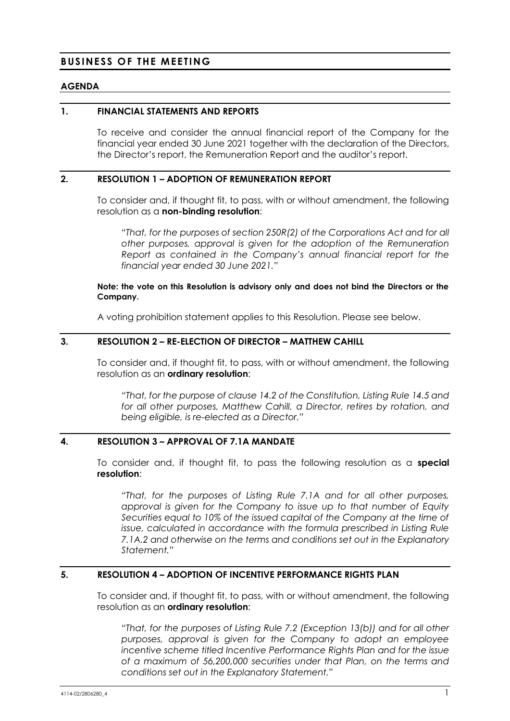# **BUSINESS OF THE MEETING**

#### **AGENDA**

#### **1. FINANCIAL STATEMENTS AND REPORTS**

To receive and consider the annual financial report of the Company for the financial year ended 30 June 2021 together with the declaration of the Directors, the Director's report, the Remuneration Report and the auditor's report.

#### **2. RESOLUTION 1 – ADOPTION OF REMUNERATION REPORT**

To consider and, if thought fit, to pass, with or without amendment, the following resolution as a **non-binding resolution**:

*"That, for the purposes of section 250R(2) of the Corporations Act and for all other purposes, approval is given for the adoption of the Remuneration Report as contained in the Company's annual financial report for the financial year ended 30 June 2021."*

#### **Note: the vote on this Resolution is advisory only and does not bind the Directors or the Company.**

A voting prohibition statement applies to this Resolution. Please see below.

#### **3. RESOLUTION 2 – RE-ELECTION OF DIRECTOR – MATTHEW CAHILL**

To consider and, if thought fit, to pass, with or without amendment, the following resolution as an **ordinary resolution**:

*"That, for the purpose of clause 14.2 of the Constitution, Listing Rule 14.5 and for all other purposes, Matthew Cahill, a Director, retires by rotation, and being eligible, is re-elected as a Director."*

# **4. RESOLUTION 3 – APPROVAL OF 7.1A MANDATE**

To consider and, if thought fit, to pass the following resolution as a **special resolution**:

*"That, for the purposes of Listing Rule 7.1A and for all other purposes, approval is given for the Company to issue up to that number of Equity Securities equal to 10% of the issued capital of the Company at the time of issue, calculated in accordance with the formula prescribed in Listing Rule 7.1A.2 and otherwise on the terms and conditions set out in the Explanatory Statement."*

#### **5. RESOLUTION 4 – ADOPTION OF INCENTIVE PERFORMANCE RIGHTS PLAN**

To consider and, if thought fit, to pass, with or without amendment, the following resolution as an **ordinary resolution**:

*"That, for the purposes of Listing Rule 7.2 (Exception 13(b)) and for all other purposes, approval is given for the Company to adopt an employee incentive scheme titled Incentive Performance Rights Plan and for the issue of a maximum of 56,200,000 securities under that Plan, on the terms and conditions set out in the Explanatory Statement."*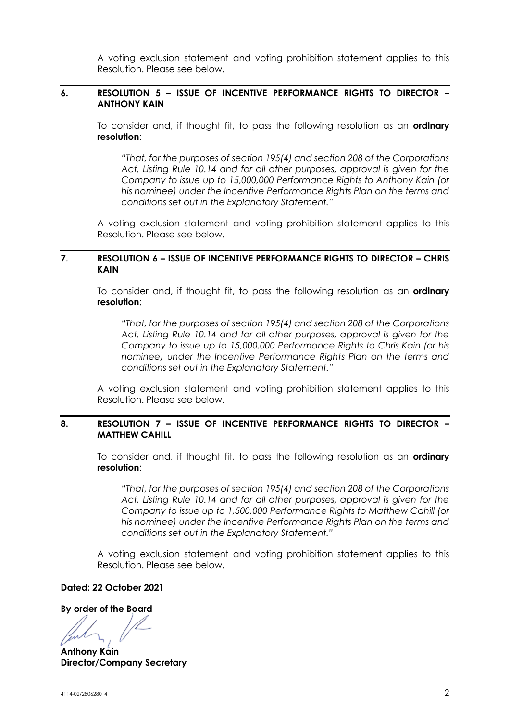A voting exclusion statement and voting prohibition statement applies to this Resolution. Please see below.

#### **6. RESOLUTION 5 – ISSUE OF INCENTIVE PERFORMANCE RIGHTS TO DIRECTOR – ANTHONY KAIN**

To consider and, if thought fit, to pass the following resolution as an **ordinary resolution**:

*"That, for the purposes of section 195(4) and section 208 of the Corporations Act, Listing Rule 10.14 and for all other purposes, approval is given for the Company to issue up to 15,000,000 Performance Rights to Anthony Kain (or his nominee) under the Incentive Performance Rights Plan on the terms and conditions set out in the Explanatory Statement."*

A voting exclusion statement and voting prohibition statement applies to this Resolution. Please see below.

## **7. RESOLUTION 6 – ISSUE OF INCENTIVE PERFORMANCE RIGHTS TO DIRECTOR – CHRIS KAIN**

To consider and, if thought fit, to pass the following resolution as an **ordinary resolution**:

*"That, for the purposes of section 195(4) and section 208 of the Corporations Act, Listing Rule 10.14 and for all other purposes, approval is given for the Company to issue up to 15,000,000 Performance Rights to Chris Kain (or his nominee) under the Incentive Performance Rights Plan on the terms and conditions set out in the Explanatory Statement."*

A voting exclusion statement and voting prohibition statement applies to this Resolution. Please see below.

#### **8. RESOLUTION 7 – ISSUE OF INCENTIVE PERFORMANCE RIGHTS TO DIRECTOR – MATTHEW CAHILL**

To consider and, if thought fit, to pass the following resolution as an **ordinary resolution**:

*"That, for the purposes of section 195(4) and section 208 of the Corporations Act, Listing Rule 10.14 and for all other purposes, approval is given for the Company to issue up to 1,500,000 Performance Rights to Matthew Cahill (or his nominee) under the Incentive Performance Rights Plan on the terms and conditions set out in the Explanatory Statement."*

A voting exclusion statement and voting prohibition statement applies to this Resolution. Please see below.

**Dated: 22 October 2021**

**By order of the Board**

**Anthony Kain Director/Company Secretary**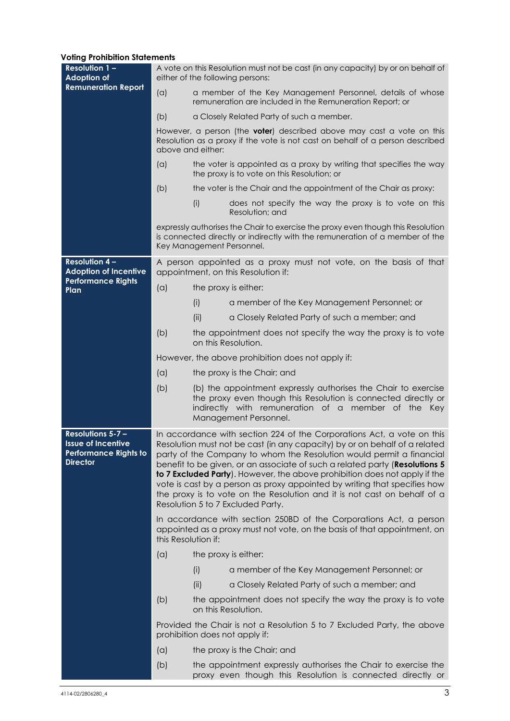#### **Voting Prohibition Statements**

| <b>Resolution 1 -</b><br><b>Adoption of</b>                                                              | A vote on this Resolution must not be cast (in any capacity) by or on behalf of<br>either of the following persons: |                                                                                                                                                                                                                                                                                                                                                                                                                                                                                                                                                                                         |  |  |  |
|----------------------------------------------------------------------------------------------------------|---------------------------------------------------------------------------------------------------------------------|-----------------------------------------------------------------------------------------------------------------------------------------------------------------------------------------------------------------------------------------------------------------------------------------------------------------------------------------------------------------------------------------------------------------------------------------------------------------------------------------------------------------------------------------------------------------------------------------|--|--|--|
| <b>Remuneration Report</b>                                                                               | (a)                                                                                                                 | a member of the Key Management Personnel, details of whose<br>remuneration are included in the Remuneration Report; or                                                                                                                                                                                                                                                                                                                                                                                                                                                                  |  |  |  |
|                                                                                                          | (b)                                                                                                                 | a Closely Related Party of such a member.                                                                                                                                                                                                                                                                                                                                                                                                                                                                                                                                               |  |  |  |
|                                                                                                          |                                                                                                                     | However, a person (the <b>voter</b> ) described above may cast a vote on this<br>Resolution as a proxy if the vote is not cast on behalf of a person described<br>above and either:                                                                                                                                                                                                                                                                                                                                                                                                     |  |  |  |
|                                                                                                          | (a)                                                                                                                 | the voter is appointed as a proxy by writing that specifies the way<br>the proxy is to vote on this Resolution; or                                                                                                                                                                                                                                                                                                                                                                                                                                                                      |  |  |  |
|                                                                                                          | (b)                                                                                                                 | the voter is the Chair and the appointment of the Chair as proxy:                                                                                                                                                                                                                                                                                                                                                                                                                                                                                                                       |  |  |  |
|                                                                                                          |                                                                                                                     | does not specify the way the proxy is to vote on this<br>(i)<br>Resolution; and                                                                                                                                                                                                                                                                                                                                                                                                                                                                                                         |  |  |  |
|                                                                                                          |                                                                                                                     | expressly authorises the Chair to exercise the proxy even though this Resolution<br>is connected directly or indirectly with the remuneration of a member of the<br>Key Management Personnel.                                                                                                                                                                                                                                                                                                                                                                                           |  |  |  |
| <b>Resolution 4-</b><br><b>Adoption of Incentive</b>                                                     |                                                                                                                     | A person appointed as a proxy must not vote, on the basis of that<br>appointment, on this Resolution if:                                                                                                                                                                                                                                                                                                                                                                                                                                                                                |  |  |  |
| <b>Performance Rights</b><br>Plan                                                                        | (a)                                                                                                                 | the proxy is either:                                                                                                                                                                                                                                                                                                                                                                                                                                                                                                                                                                    |  |  |  |
|                                                                                                          |                                                                                                                     | a member of the Key Management Personnel; or<br>(i)                                                                                                                                                                                                                                                                                                                                                                                                                                                                                                                                     |  |  |  |
|                                                                                                          |                                                                                                                     | (ii)<br>a Closely Related Party of such a member; and                                                                                                                                                                                                                                                                                                                                                                                                                                                                                                                                   |  |  |  |
|                                                                                                          | (b)                                                                                                                 | the appointment does not specify the way the proxy is to vote<br>on this Resolution.                                                                                                                                                                                                                                                                                                                                                                                                                                                                                                    |  |  |  |
|                                                                                                          |                                                                                                                     | However, the above prohibition does not apply if:                                                                                                                                                                                                                                                                                                                                                                                                                                                                                                                                       |  |  |  |
|                                                                                                          | (a)                                                                                                                 | the proxy is the Chair; and                                                                                                                                                                                                                                                                                                                                                                                                                                                                                                                                                             |  |  |  |
|                                                                                                          | (b)                                                                                                                 | (b) the appointment expressly authorises the Chair to exercise<br>the proxy even though this Resolution is connected directly or<br>indirectly with remuneration of a member of the Key<br>Management Personnel.                                                                                                                                                                                                                                                                                                                                                                        |  |  |  |
| <b>Resolutions 5-7 -</b><br><b>Issue of Incentive</b><br><b>Performance Rights to</b><br><b>Director</b> |                                                                                                                     | In accordance with section 224 of the Corporations Act, a vote on this<br>Resolution must not be cast (in any capacity) by or on behalf of a related<br>party of the Company to whom the Resolution would permit a financial<br>benefit to be given, or an associate of such a related party (Resolutions 5<br>to 7 Excluded Party). However, the above prohibition does not apply if the<br>vote is cast by a person as proxy appointed by writing that specifies how<br>the proxy is to vote on the Resolution and it is not cast on behalf of a<br>Resolution 5 to 7 Excluded Party. |  |  |  |
|                                                                                                          | this Resolution if:                                                                                                 | In accordance with section 250BD of the Corporations Act, a person<br>appointed as a proxy must not vote, on the basis of that appointment, on                                                                                                                                                                                                                                                                                                                                                                                                                                          |  |  |  |
|                                                                                                          | (a)                                                                                                                 | the proxy is either:                                                                                                                                                                                                                                                                                                                                                                                                                                                                                                                                                                    |  |  |  |
|                                                                                                          |                                                                                                                     | a member of the Key Management Personnel; or<br>(i)                                                                                                                                                                                                                                                                                                                                                                                                                                                                                                                                     |  |  |  |
|                                                                                                          |                                                                                                                     | (ii)<br>a Closely Related Party of such a member; and                                                                                                                                                                                                                                                                                                                                                                                                                                                                                                                                   |  |  |  |
|                                                                                                          | (b)                                                                                                                 | the appointment does not specify the way the proxy is to vote<br>on this Resolution.                                                                                                                                                                                                                                                                                                                                                                                                                                                                                                    |  |  |  |
|                                                                                                          |                                                                                                                     | Provided the Chair is not a Resolution 5 to 7 Excluded Party, the above<br>prohibition does not apply if:                                                                                                                                                                                                                                                                                                                                                                                                                                                                               |  |  |  |
|                                                                                                          | (a)                                                                                                                 | the proxy is the Chair; and                                                                                                                                                                                                                                                                                                                                                                                                                                                                                                                                                             |  |  |  |
|                                                                                                          | (b)                                                                                                                 | the appointment expressly authorises the Chair to exercise the<br>proxy even though this Resolution is connected directly or                                                                                                                                                                                                                                                                                                                                                                                                                                                            |  |  |  |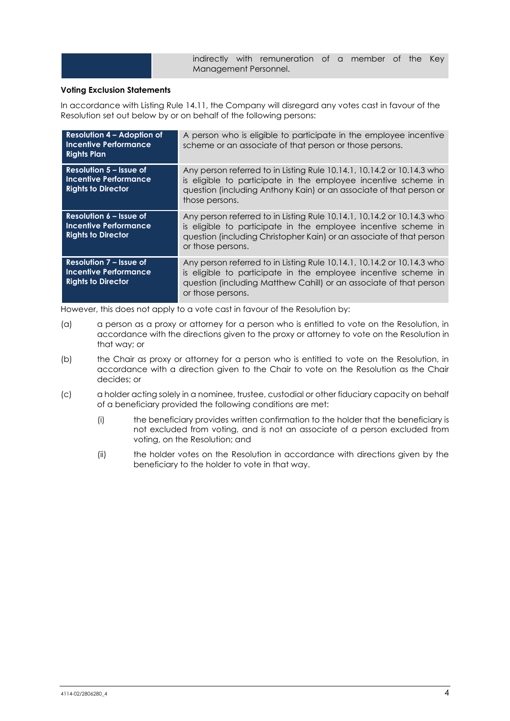indirectly with remuneration of a member of the Key Management Personnel.

#### **Voting Exclusion Statements**

In accordance with Listing Rule 14.11, the Company will disregard any votes cast in favour of the Resolution set out below by or on behalf of the following persons:

| <b>Resolution 4 - Adoption of</b><br><b>Incentive Performance</b><br><b>Rights Plan</b>     | A person who is eligible to participate in the employee incentive<br>scheme or an associate of that person or those persons.                                                                                                          |
|---------------------------------------------------------------------------------------------|---------------------------------------------------------------------------------------------------------------------------------------------------------------------------------------------------------------------------------------|
| Resolution $5 -$ Issue of<br>Incentive Performance<br><b>Rights to Director</b>             | Any person referred to in Listing Rule 10.14.1, 10.14.2 or 10.14.3 who<br>is eligible to participate in the employee incentive scheme in<br>question (including Anthony Kain) or an associate of that person or<br>those persons.     |
| Resolution 6 – Issue of<br><b>Incentive Performance</b><br><b>Rights to Director</b>        | Any person referred to in Listing Rule 10.14.1, 10.14.2 or 10.14.3 who<br>is eligible to participate in the employee incentive scheme in<br>question (including Christopher Kain) or an associate of that person<br>or those persons. |
| <b>Resolution 7 - Issue of</b><br><b>Incentive Performance</b><br><b>Rights to Director</b> | Any person referred to in Listing Rule 10.14.1, 10.14.2 or 10.14.3 who<br>is eligible to participate in the employee incentive scheme in<br>question (including Matthew Cahill) or an associate of that person<br>or those persons.   |

However, this does not apply to a vote cast in favour of the Resolution by:

- (a) a person as a proxy or attorney for a person who is entitled to vote on the Resolution, in accordance with the directions given to the proxy or attorney to vote on the Resolution in that way; or
- (b) the Chair as proxy or attorney for a person who is entitled to vote on the Resolution, in accordance with a direction given to the Chair to vote on the Resolution as the Chair decides; or
- (c) a holder acting solely in a nominee, trustee, custodial or other fiduciary capacity on behalf of a beneficiary provided the following conditions are met:
	- (i) the beneficiary provides written confirmation to the holder that the beneficiary is not excluded from voting, and is not an associate of a person excluded from voting, on the Resolution; and
	- (ii) the holder votes on the Resolution in accordance with directions given by the beneficiary to the holder to vote in that way.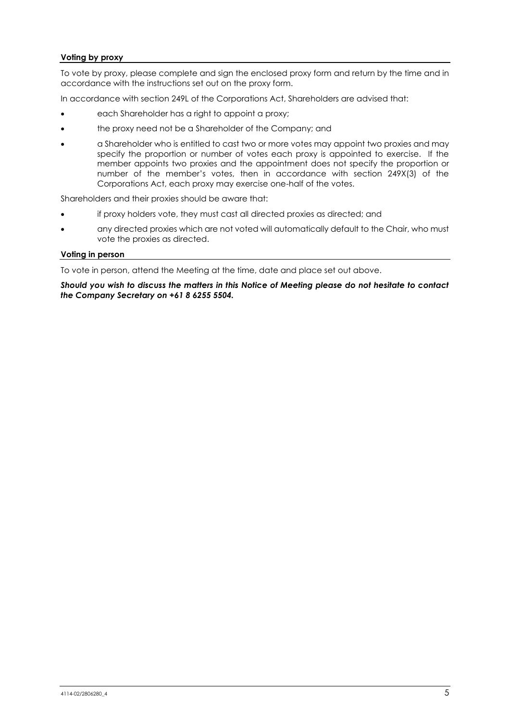#### **Voting by proxy**

To vote by proxy, please complete and sign the enclosed proxy form and return by the time and in accordance with the instructions set out on the proxy form.

In accordance with section 249L of the Corporations Act, Shareholders are advised that:

- each Shareholder has a right to appoint a proxy;
- the proxy need not be a Shareholder of the Company; and
- a Shareholder who is entitled to cast two or more votes may appoint two proxies and may specify the proportion or number of votes each proxy is appointed to exercise. If the member appoints two proxies and the appointment does not specify the proportion or number of the member's votes, then in accordance with section 249X(3) of the Corporations Act, each proxy may exercise one-half of the votes.

Shareholders and their proxies should be aware that:

- if proxy holders vote, they must cast all directed proxies as directed; and
- any directed proxies which are not voted will automatically default to the Chair, who must vote the proxies as directed.

#### **Voting in person**

To vote in person, attend the Meeting at the time, date and place set out above.

*Should you wish to discuss the matters in this Notice of Meeting please do not hesitate to contact the Company Secretary on +61 8 6255 5504.*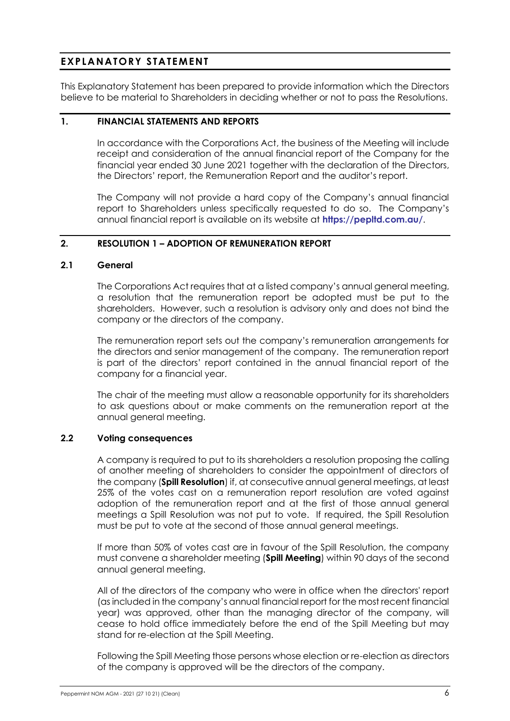# **EXPLANATORY STATEMENT**

This Explanatory Statement has been prepared to provide information which the Directors believe to be material to Shareholders in deciding whether or not to pass the Resolutions.

#### **1. FINANCIAL STATEMENTS AND REPORTS**

In accordance with the Corporations Act, the business of the Meeting will include receipt and consideration of the annual financial report of the Company for the financial year ended 30 June 2021 together with the declaration of the Directors, the Directors' report, the Remuneration Report and the auditor's report.

The Company will not provide a hard copy of the Company's annual financial report to Shareholders unless specifically requested to do so. The Company's annual financial report is available on its website at **<https://pepltd.com.au/>**.

#### **2. RESOLUTION 1 – ADOPTION OF REMUNERATION REPORT**

#### **2.1 General**

The Corporations Act requires that at a listed company's annual general meeting, a resolution that the remuneration report be adopted must be put to the shareholders. However, such a resolution is advisory only and does not bind the company or the directors of the company.

The remuneration report sets out the company's remuneration arrangements for the directors and senior management of the company. The remuneration report is part of the directors' report contained in the annual financial report of the company for a financial year.

The chair of the meeting must allow a reasonable opportunity for its shareholders to ask questions about or make comments on the remuneration report at the annual general meeting.

#### **2.2 Voting consequences**

A company is required to put to its shareholders a resolution proposing the calling of another meeting of shareholders to consider the appointment of directors of the company (**Spill Resolution**) if, at consecutive annual general meetings, at least 25% of the votes cast on a remuneration report resolution are voted against adoption of the remuneration report and at the first of those annual general meetings a Spill Resolution was not put to vote. If required, the Spill Resolution must be put to vote at the second of those annual general meetings.

If more than 50% of votes cast are in favour of the Spill Resolution, the company must convene a shareholder meeting (**Spill Meeting**) within 90 days of the second annual general meeting.

All of the directors of the company who were in office when the directors' report (as included in the company's annual financial report for the most recent financial year) was approved, other than the managing director of the company, will cease to hold office immediately before the end of the Spill Meeting but may stand for re-election at the Spill Meeting.

Following the Spill Meeting those persons whose election or re-election as directors of the company is approved will be the directors of the company.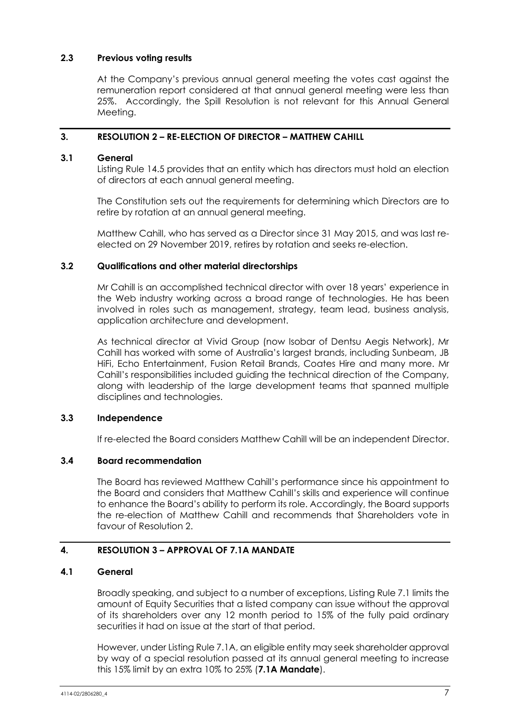#### **2.3 Previous voting results**

At the Company's previous annual general meeting the votes cast against the remuneration report considered at that annual general meeting were less than 25%. Accordingly, the Spill Resolution is not relevant for this Annual General Meeting.

## **3. RESOLUTION 2 – RE-ELECTION OF DIRECTOR – MATTHEW CAHILL**

#### **3.1 General**

Listing Rule 14.5 provides that an entity which has directors must hold an election of directors at each annual general meeting.

The Constitution sets out the requirements for determining which Directors are to retire by rotation at an annual general meeting.

Matthew Cahill, who has served as a Director since 31 May 2015, and was last reelected on 29 November 2019, retires by rotation and seeks re-election.

#### **3.2 Qualifications and other material directorships**

Mr Cahill is an accomplished technical director with over 18 years' experience in the Web industry working across a broad range of technologies. He has been involved in roles such as management, strategy, team lead, business analysis, application architecture and development.

As technical director at Vivid Group (now Isobar of Dentsu Aegis Network), Mr Cahill has worked with some of Australia's largest brands, including Sunbeam, JB HiFi, Echo Entertainment, Fusion Retail Brands, Coates Hire and many more. Mr Cahill's responsibilities included guiding the technical direction of the Company, along with leadership of the large development teams that spanned multiple disciplines and technologies.

# **3.3 Independence**

If re-elected the Board considers Matthew Cahill will be an independent Director.

#### **3.4 Board recommendation**

The Board has reviewed Matthew Cahill's performance since his appointment to the Board and considers that Matthew Cahill's skills and experience will continue to enhance the Board's ability to perform its role. Accordingly, the Board supports the re-election of Matthew Cahill and recommends that Shareholders vote in favour of Resolution 2.

# **4. RESOLUTION 3 – APPROVAL OF 7.1A MANDATE**

#### <span id="page-7-0"></span>**4.1 General**

Broadly speaking, and subject to a number of exceptions, Listing Rule 7.1 limits the amount of Equity Securities that a listed company can issue without the approval of its shareholders over any 12 month period to 15% of the fully paid ordinary securities it had on issue at the start of that period.

However, under Listing Rule 7.1A, an eligible entity may seek shareholder approval by way of a special resolution passed at its annual general meeting to increase this 15% limit by an extra 10% to 25% (**7.1A Mandate**).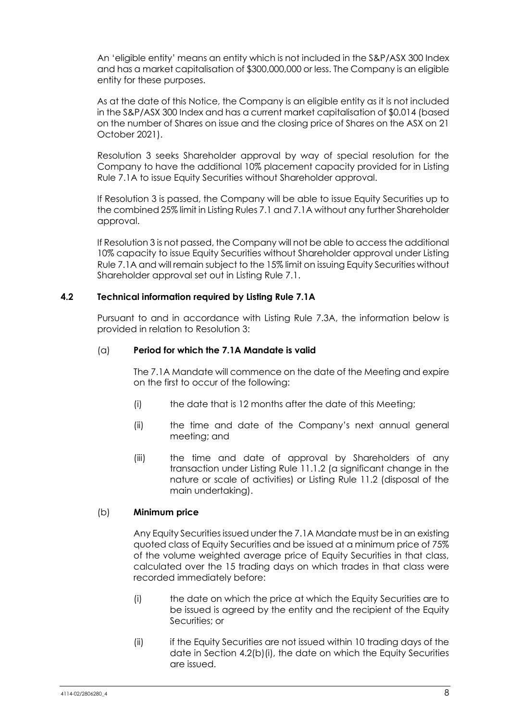An 'eligible entity' means an entity which is not included in the S&P/ASX 300 Index and has a market capitalisation of \$300,000,000 or less. The Company is an eligible entity for these purposes.

As at the date of this Notice, the Company is an eligible entity as it is not included in the S&P/ASX 300 Index and has a current market capitalisation of \$0.014 (based on the number of Shares on issue and the closing price of Shares on the ASX on 21 October 2021).

Resolution 3 seeks Shareholder approval by way of special resolution for the Company to have the additional 10% placement capacity provided for in Listing Rule 7.1A to issue Equity Securities without Shareholder approval.

If Resolution 3 is passed, the Company will be able to issue Equity Securities up to the combined 25% limit in Listing Rules 7.1 and 7.1A without any further Shareholder approval.

If Resolution 3 is not passed, the Company will not be able to access the additional 10% capacity to issue Equity Securities without Shareholder approval under Listing Rule 7.1A and will remain subject to the 15% limit on issuing Equity Securities without Shareholder approval set out in Listing Rule 7.1.

#### **4.2 Technical information required by Listing Rule 7.1A**

Pursuant to and in accordance with Listing Rule 7.3A, the information below is provided in relation to Resolution 3:

#### (a) **Period for which the 7.1A Mandate is valid**

The 7.1A Mandate will commence on the date of the Meeting and expire on the first to occur of the following:

- (i) the date that is 12 months after the date of this Meeting;
- (ii) the time and date of the Company's next annual general meeting; and
- (iii) the time and date of approval by Shareholders of any transaction under Listing Rule 11.1.2 (a significant change in the nature or scale of activities) or Listing Rule 11.2 (disposal of the main undertaking).

#### (b) **Minimum price**

Any Equity Securities issued under the 7.1A Mandate must be in an existing quoted class of Equity Securities and be issued at a minimum price of 75% of the volume weighted average price of Equity Securities in that class, calculated over the 15 trading days on which trades in that class were recorded immediately before:

- <span id="page-8-0"></span>(i) the date on which the price at which the Equity Securities are to be issued is agreed by the entity and the recipient of the Equity Securities; or
- (ii) if the Equity Securities are not issued within 10 trading days of the date in Section [4.2\(b\)\(i\),](#page-8-0) the date on which the Equity Securities are issued.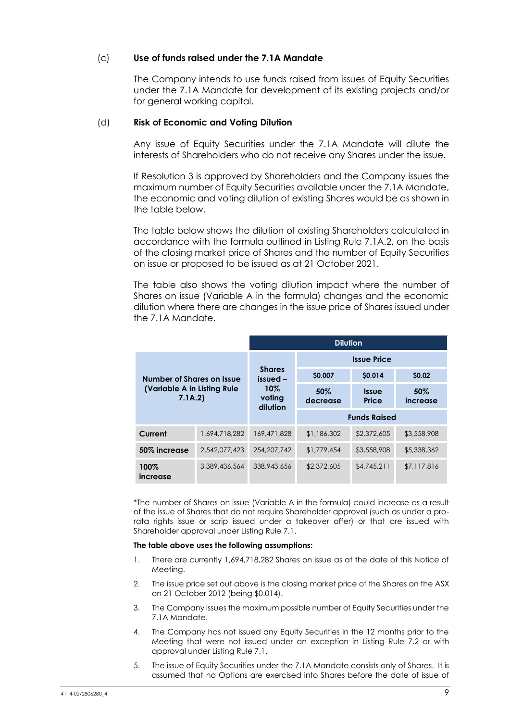#### (c) **Use of funds raised under the 7.1A Mandate**

The Company intends to use funds raised from issues of Equity Securities under the 7.1A Mandate for development of its existing projects and/or for general working capital.

#### (d) **Risk of Economic and Voting Dilution**

Any issue of Equity Securities under the 7.1A Mandate will dilute the interests of Shareholders who do not receive any Shares under the issue.

If Resolution 3 is approved by Shareholders and the Company issues the maximum number of Equity Securities available under the 7.1A Mandate, the economic and voting dilution of existing Shares would be as shown in the table below.

The table below shows the dilution of existing Shareholders calculated in accordance with the formula outlined in Listing Rule 7.1A.2, on the basis of the closing market price of Shares and the number of Equity Securities on issue or proposed to be issued as at 21 October 2021.

The table also shows the voting dilution impact where the number of Shares on issue (Variable A in the formula) changes and the economic dilution where there are changes in the issue price of Shares issued under the 7.1A Mandate.

|                                                                    |               | <b>Dilution</b>                                        |                     |                       |                 |  |
|--------------------------------------------------------------------|---------------|--------------------------------------------------------|---------------------|-----------------------|-----------------|--|
| Number of Shares on Issue<br>(Variable A in Listing Rule<br>7.1A.2 |               | <b>Shares</b><br>issued -<br>10%<br>voting<br>dilution | <b>Issue Price</b>  |                       |                 |  |
|                                                                    |               |                                                        | \$0.007             | \$0.014               | \$0.02          |  |
|                                                                    |               |                                                        | 50%<br>decrease     | <b>Issue</b><br>Price | 50%<br>increase |  |
|                                                                    |               |                                                        | <b>Funds Raised</b> |                       |                 |  |
| Current                                                            | 1.694.718.282 | 169,471,828                                            | \$1,186,302         | \$2,372,605           | \$3,558,908     |  |
| 50% increase                                                       | 2,542,077,423 | 254.207.742                                            | \$1,779,454         | \$3,558,908           | \$5,338,362     |  |
| 100%<br>increase                                                   | 3,389,436,564 | 338,943,656                                            | \$2,372,605         | \$4,745,211           | \$7,117,816     |  |

\*The number of Shares on issue (Variable A in the formula) could increase as a result of the issue of Shares that do not require Shareholder approval (such as under a prorata rights issue or scrip issued under a takeover offer) or that are issued with Shareholder approval under Listing Rule 7.1.

#### **The table above uses the following assumptions:**

- 1. There are currently 1,694,718,282 Shares on issue as at the date of this Notice of Meeting.
- 2. The issue price set out above is the closing market price of the Shares on the ASX on 21 October 2012 (being \$0.014).
- 3. The Company issues the maximum possible number of Equity Securities under the 7.1A Mandate.
- 4. The Company has not issued any Equity Securities in the 12 months prior to the Meeting that were not issued under an exception in Listing Rule 7.2 or with approval under Listing Rule 7.1.
- 5. The issue of Equity Securities under the 7.1A Mandate consists only of Shares. It is assumed that no Options are exercised into Shares before the date of issue of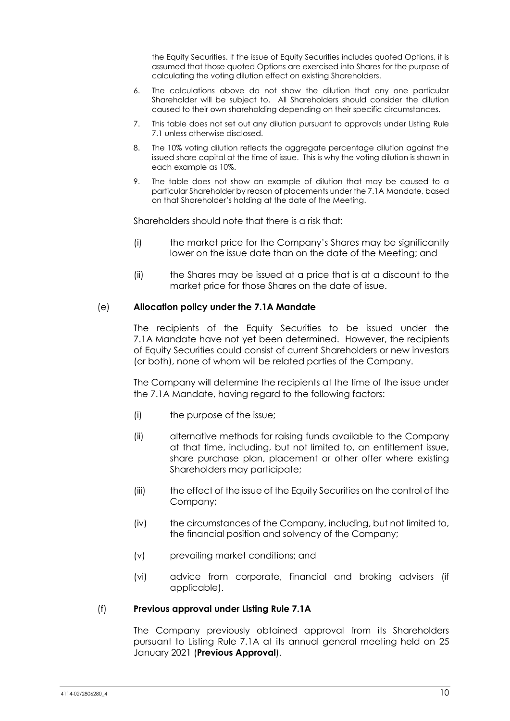the Equity Securities. If the issue of Equity Securities includes quoted Options, it is assumed that those quoted Options are exercised into Shares for the purpose of calculating the voting dilution effect on existing Shareholders.

- 6. The calculations above do not show the dilution that any one particular Shareholder will be subject to. All Shareholders should consider the dilution caused to their own shareholding depending on their specific circumstances.
- 7. This table does not set out any dilution pursuant to approvals under Listing Rule 7.1 unless otherwise disclosed.
- 8. The 10% voting dilution reflects the aggregate percentage dilution against the issued share capital at the time of issue. This is why the voting dilution is shown in each example as 10%.
- 9. The table does not show an example of dilution that may be caused to a particular Shareholder by reason of placements under the 7.1A Mandate, based on that Shareholder's holding at the date of the Meeting.

Shareholders should note that there is a risk that:

- (i) the market price for the Company's Shares may be significantly lower on the issue date than on the date of the Meeting; and
- (ii) the Shares may be issued at a price that is at a discount to the market price for those Shares on the date of issue.

#### (e) **Allocation policy under the 7.1A Mandate**

The recipients of the Equity Securities to be issued under the 7.1A Mandate have not yet been determined. However, the recipients of Equity Securities could consist of current Shareholders or new investors (or both), none of whom will be related parties of the Company.

The Company will determine the recipients at the time of the issue under the 7.1A Mandate, having regard to the following factors:

- (i) the purpose of the issue;
- (ii) alternative methods for raising funds available to the Company at that time, including, but not limited to, an entitlement issue, share purchase plan, placement or other offer where existing Shareholders may participate;
- (iii) the effect of the issue of the Equity Securities on the control of the Company;
- (iv) the circumstances of the Company, including, but not limited to, the financial position and solvency of the Company;
- (v) prevailing market conditions; and
- (vi) advice from corporate, financial and broking advisers (if applicable).

#### (f) **Previous approval under Listing Rule 7.1A**

The Company previously obtained approval from its Shareholders pursuant to Listing Rule 7.1A at its annual general meeting held on 25 January 2021 (**Previous Approval**).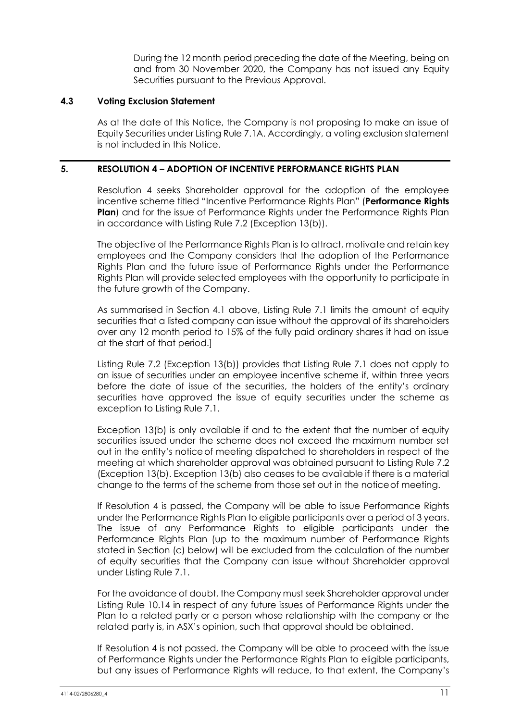During the 12 month period preceding the date of the Meeting, being on and from 30 November 2020, the Company has not issued any Equity Securities pursuant to the Previous Approval.

#### **4.3 Voting Exclusion Statement**

As at the date of this Notice, the Company is not proposing to make an issue of Equity Securities under Listing Rule 7.1A. Accordingly, a voting exclusion statement is not included in this Notice.

#### **5. RESOLUTION 4 – ADOPTION OF INCENTIVE PERFORMANCE RIGHTS PLAN**

Resolution 4 seeks Shareholder approval for the adoption of the employee incentive scheme titled "Incentive Performance Rights Plan" (**Performance Rights Plan**) and for the issue of Performance Rights under the Performance Rights Plan in accordance with Listing Rule 7.2 (Exception 13(b)).

The objective of the Performance Rights Plan is to attract, motivate and retain key employees and the Company considers that the adoption of the Performance Rights Plan and the future issue of Performance Rights under the Performance Rights Plan will provide selected employees with the opportunity to participate in the future growth of the Company.

As summarised in Section [4.1](#page-7-0) above, Listing Rule 7.1 limits the amount of equity securities that a listed company can issue without the approval of its shareholders over any 12 month period to 15% of the fully paid ordinary shares it had on issue at the start of that period.]

Listing Rule 7.2 (Exception 13(b)) provides that Listing Rule 7.1 does not apply to an issue of securities under an employee incentive scheme if, within three years before the date of issue of the securities, the holders of the entity's ordinary securities have approved the issue of equity securities under the scheme as exception to Listing Rule 7.1.

Exception 13(b) is only available if and to the extent that the number of equity securities issued under the scheme does not exceed the maximum number set out in the entity's noticeof meeting dispatched to shareholders in respect of the meeting at which shareholder approval was obtained pursuant to Listing Rule 7.2 (Exception 13(b). Exception 13(b) also ceases to be available if there is a material change to the terms of the scheme from those set out in the noticeof meeting.

If Resolution 4 is passed, the Company will be able to issue Performance Rights under the Performance Rights Plan to eligible participants over a period of 3 years. The issue of any Performance Rights to eligible participants under the Performance Rights Plan (up to the maximum number of Performance Rights stated in Section [\(c\)](#page-12-0) below) will be excluded from the calculation of the number of equity securities that the Company can issue without Shareholder approval under Listing Rule 7.1.

For the avoidance of doubt, the Company must seek Shareholder approval under Listing Rule 10.14 in respect of any future issues of Performance Rights under the Plan to a related party or a person whose relationship with the company or the related party is, in ASX's opinion, such that approval should be obtained.

If Resolution 4 is not passed, the Company will be able to proceed with the issue of Performance Rights under the Performance Rights Plan to eligible participants, but any issues of Performance Rights will reduce, to that extent, the Company's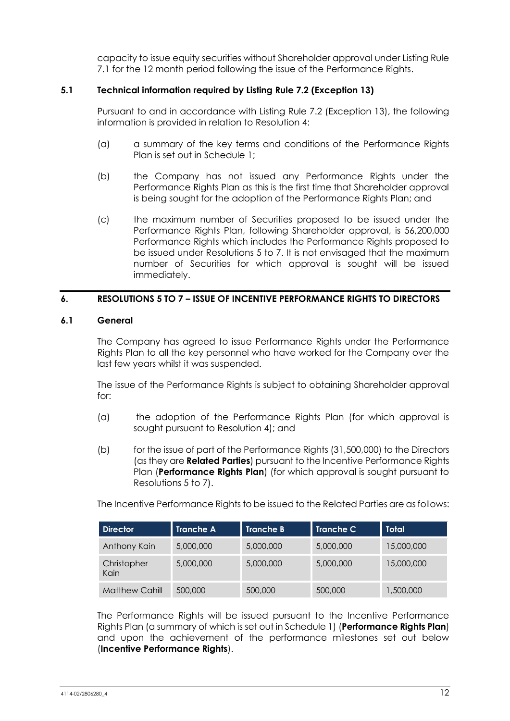capacity to issue equity securities without Shareholder approval under Listing Rule 7.1 for the 12 month period following the issue of the Performance Rights.

# **5.1 Technical information required by Listing Rule 7.2 (Exception 13)**

Pursuant to and in accordance with Listing Rule 7.2 (Exception 13), the following information is provided in relation to Resolution 4:

- (a) a summary of the key terms and conditions of the Performance Rights Plan is set out in Schedule 1;
- (b) the Company has not issued any Performance Rights under the Performance Rights Plan as this is the first time that Shareholder approval is being sought for the adoption of the Performance Rights Plan; and
- <span id="page-12-0"></span>(c) the maximum number of Securities proposed to be issued under the Performance Rights Plan, following Shareholder approval, is 56,200,000 Performance Rights which includes the Performance Rights proposed to be issued under Resolutions 5 to 7. It is not envisaged that the maximum number of Securities for which approval is sought will be issued immediately.

# **6. RESOLUTIONS 5 TO 7 – ISSUE OF INCENTIVE PERFORMANCE RIGHTS TO DIRECTORS**

#### **6.1 General**

The Company has agreed to issue Performance Rights under the Performance Rights Plan to all the key personnel who have worked for the Company over the last few years whilst it was suspended.

The issue of the Performance Rights is subject to obtaining Shareholder approval for:

- (a) the adoption of the Performance Rights Plan (for which approval is sought pursuant to Resolution 4); and
- (b) for the issue of part of the Performance Rights (31,500,000) to the Directors (as they are **Related Parties**) pursuant to the Incentive Performance Rights Plan (**Performance Rights Plan**) (for which approval is sought pursuant to Resolutions 5 to 7).

The Incentive Performance Rights to be issued to the Related Parties are as follows:

| <b>Director</b>       | <b>Tranche A</b> | <b>Tranche B</b> | <b>Tranche C</b> | <b>Total</b> |
|-----------------------|------------------|------------------|------------------|--------------|
| Anthony Kain          | 5,000,000        | 5,000,000        | 5,000,000        | 15,000,000   |
| Christopher<br>Kain   | 5,000,000        | 5,000,000        | 5,000,000        | 15,000,000   |
| <b>Matthew Cahill</b> | 500,000          | 500,000          | 500,000          | 1,500,000    |

The Performance Rights will be issued pursuant to the Incentive Performance Rights Plan (a summary of which is set out in Schedule 1) (**Performance Rights Plan**) and upon the achievement of the performance milestones set out below (**Incentive Performance Rights**).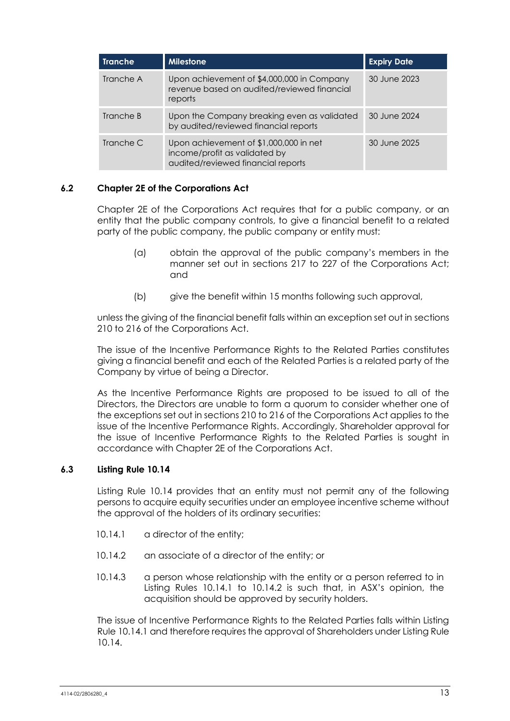| Tranche   | <b>Milestone</b>                                                                                              | <b>Expiry Date</b> |
|-----------|---------------------------------------------------------------------------------------------------------------|--------------------|
| Tranche A | Upon achievement of \$4,000,000 in Company<br>revenue based on audited/reviewed financial<br>reports          | 30 June 2023       |
| Tranche B | Upon the Company breaking even as validated<br>by audited/reviewed financial reports                          | 30 June 2024       |
| Tranche C | Upon achievement of \$1,000,000 in net<br>income/profit as validated by<br>audited/reviewed financial reports | 30 June 2025       |

# **6.2 Chapter 2E of the Corporations Act**

Chapter 2E of the Corporations Act requires that for a public company, or an entity that the public company controls, to give a financial benefit to a related party of the public company, the public company or entity must:

- (a) obtain the approval of the public company's members in the manner set out in sections 217 to 227 of the Corporations Act; and
- (b) give the benefit within 15 months following such approval,

unless the giving of the financial benefit falls within an exception set out in sections 210 to 216 of the Corporations Act.

The issue of the Incentive Performance Rights to the Related Parties constitutes giving a financial benefit and each of the Related Parties is a related party of the Company by virtue of being a Director.

As the Incentive Performance Rights are proposed to be issued to all of the Directors, the Directors are unable to form a quorum to consider whether one of the exceptions set out in sections 210 to 216 of the Corporations Act applies to the issue of the Incentive Performance Rights. Accordingly, Shareholder approval for the issue of Incentive Performance Rights to the Related Parties is sought in accordance with Chapter 2E of the Corporations Act.

#### **6.3 Listing Rule 10.14**

Listing Rule 10.14 provides that an entity must not permit any of the following persons to acquire equity securities under an employee incentive scheme without the approval of the holders of its ordinary securities:

- 10.14.1 a director of the entity:
- 10.14.2 an associate of a director of the entity; or
- 10.14.3 a person whose relationship with the entity or a person referred to in Listing Rules 10.14.1 to 10.14.2 is such that, in ASX's opinion, the acquisition should be approved by security holders.

The issue of Incentive Performance Rights to the Related Parties falls within Listing Rule 10.14.1 and therefore requires the approval of Shareholders under Listing Rule 10.14.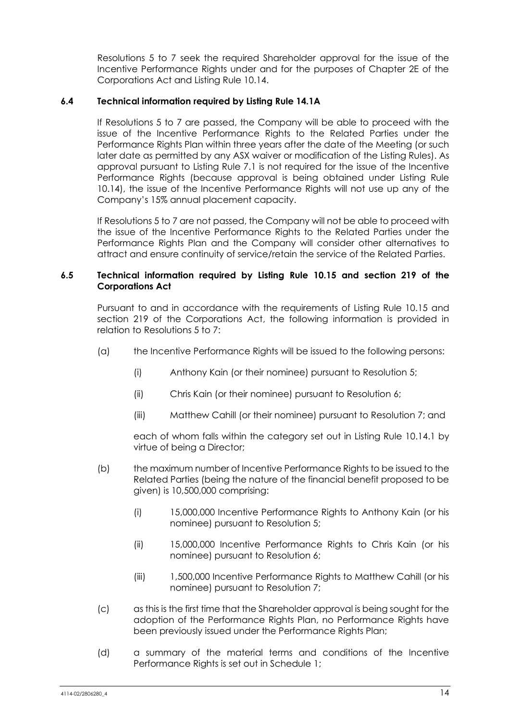Resolutions 5 to 7 seek the required Shareholder approval for the issue of the Incentive Performance Rights under and for the purposes of Chapter 2E of the Corporations Act and Listing Rule 10.14.

## **6.4 Technical information required by Listing Rule 14.1A**

If Resolutions 5 to 7 are passed, the Company will be able to proceed with the issue of the Incentive Performance Rights to the Related Parties under the Performance Rights Plan within three years after the date of the Meeting (or such later date as permitted by any ASX waiver or modification of the Listing Rules). As approval pursuant to Listing Rule 7.1 is not required for the issue of the Incentive Performance Rights (because approval is being obtained under Listing Rule 10.14), the issue of the Incentive Performance Rights will not use up any of the Company's 15% annual placement capacity.

If Resolutions 5 to 7 are not passed, the Company will not be able to proceed with the issue of the Incentive Performance Rights to the Related Parties under the Performance Rights Plan and the Company will consider other alternatives to attract and ensure continuity of service/retain the service of the Related Parties.

#### **6.5 Technical information required by Listing Rule 10.15 and section 219 of the Corporations Act**

Pursuant to and in accordance with the requirements of Listing Rule 10.15 and section 219 of the Corporations Act, the following information is provided in relation to Resolutions 5 to 7:

- (a) the Incentive Performance Rights will be issued to the following persons:
	- (i) Anthony Kain (or their nominee) pursuant to Resolution 5;
	- (ii) Chris Kain (or their nominee) pursuant to Resolution 6;
	- (iii) Matthew Cahill (or their nominee) pursuant to Resolution 7; and

each of whom falls within the category set out in Listing Rule 10.14.1 by virtue of being a Director;

- (b) the maximum number of Incentive Performance Rights to be issued to the Related Parties (being the nature of the financial benefit proposed to be given) is 10,500,000 comprising:
	- (i) 15,000,000 Incentive Performance Rights to Anthony Kain (or his nominee) pursuant to Resolution 5;
	- (ii) 15,000,000 Incentive Performance Rights to Chris Kain (or his nominee) pursuant to Resolution 6;
	- (iii) 1,500,000 Incentive Performance Rights to Matthew Cahill (or his nominee) pursuant to Resolution 7;
- (c) as this is the first time that the Shareholder approval is being sought for the adoption of the Performance Rights Plan, no Performance Rights have been previously issued under the Performance Rights Plan;
- (d) a summary of the material terms and conditions of the Incentive Performance Rights is set out in Schedule 1;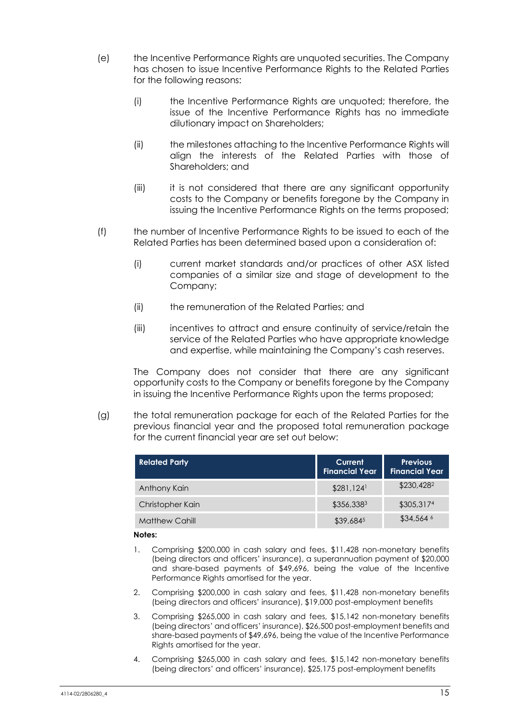- (e) the Incentive Performance Rights are unquoted securities. The Company has chosen to issue Incentive Performance Rights to the Related Parties for the following reasons:
	- (i) the Incentive Performance Rights are unquoted; therefore, the issue of the Incentive Performance Rights has no immediate dilutionary impact on Shareholders;
	- (ii) the milestones attaching to the Incentive Performance Rights will align the interests of the Related Parties with those of Shareholders; and
	- (iii) it is not considered that there are any significant opportunity costs to the Company or benefits foregone by the Company in issuing the Incentive Performance Rights on the terms proposed;
- (f) the number of Incentive Performance Rights to be issued to each of the Related Parties has been determined based upon a consideration of:
	- (i) current market standards and/or practices of other ASX listed companies of a similar size and stage of development to the Company;
	- (ii) the remuneration of the Related Parties; and
	- (iii) incentives to attract and ensure continuity of service/retain the service of the Related Parties who have appropriate knowledge and expertise, while maintaining the Company's cash reserves.

The Company does not consider that there are any significant opportunity costs to the Company or benefits foregone by the Company in issuing the Incentive Performance Rights upon the terms proposed:

(g) the total remuneration package for each of the Related Parties for the previous financial year and the proposed total remuneration package for the current financial year are set out below:

| <b>Related Party</b>  | Current<br><b>Financial Year</b> | <b>Previous</b><br><b>Financial Year</b> |
|-----------------------|----------------------------------|------------------------------------------|
| Anthony Kain          | $$281,124$ <sup>1</sup>          | \$230,428 <sup>2</sup>                   |
| Christopher Kain      | \$356,3383                       | \$305,3174                               |
| <b>Matthew Cahill</b> | \$39,6845                        | $$34,564$ <sup>6</sup>                   |

#### **Notes:**

- 1. Comprising \$200,000 in cash salary and fees, \$11,428 non-monetary benefits (being directors and officers' insurance), a superannuation payment of \$20,000 and share-based payments of \$49,696, being the value of the Incentive Performance Rights amortised for the year.
- 2. Comprising \$200,000 in cash salary and fees, \$11,428 non-monetary benefits (being directors and officers' insurance), \$19,000 post-employment benefits
- 3. Comprising \$265,000 in cash salary and fees, \$15,142 non-monetary benefits (being directors' and officers' insurance), \$26,500 post-employment benefits and share-based payments of \$49,696, being the value of the Incentive Performance Rights amortised for the year.
- 4. Comprising \$265,000 in cash salary and fees, \$15,142 non-monetary benefits (being directors' and officers' insurance), \$25,175 post-employment benefits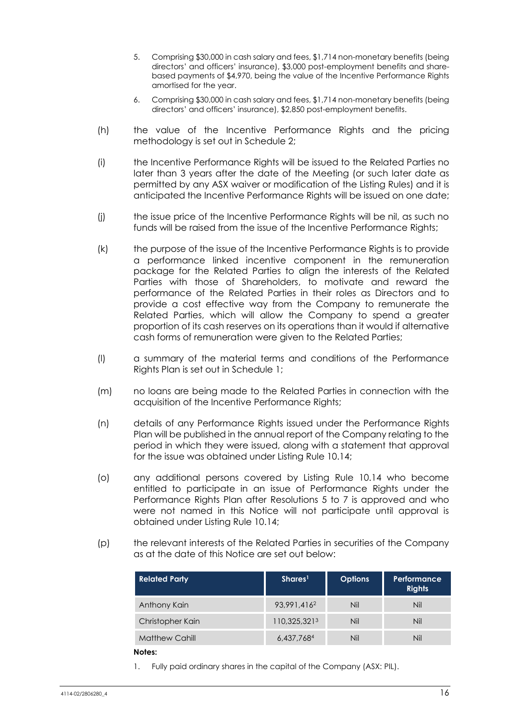- 5. Comprising \$30,000 in cash salary and fees, \$1,714 non-monetary benefits (being directors' and officers' insurance), \$3,000 post-employment benefits and sharebased payments of \$4,970, being the value of the Incentive Performance Rights amortised for the year.
- 6. Comprising \$30,000 in cash salary and fees, \$1,714 non-monetary benefits (being directors' and officers' insurance), \$2,850 post-employment benefits.
- (h) the value of the Incentive Performance Rights and the pricing methodology is set out in Schedule 2;
- (i) the Incentive Performance Rights will be issued to the Related Parties no later than 3 years after the date of the Meeting (or such later date as permitted by any ASX waiver or modification of the Listing Rules) and it is anticipated the Incentive Performance Rights will be issued on one date;
- (j) the issue price of the Incentive Performance Rights will be nil, as such no funds will be raised from the issue of the Incentive Performance Rights;
- (k) the purpose of the issue of the Incentive Performance Rights is to provide a performance linked incentive component in the remuneration package for the Related Parties to align the interests of the Related Parties with those of Shareholders, to motivate and reward the performance of the Related Parties in their roles as Directors and to provide a cost effective way from the Company to remunerate the Related Parties, which will allow the Company to spend a greater proportion of its cash reserves on its operations than it would if alternative cash forms of remuneration were given to the Related Parties;
- (l) a summary of the material terms and conditions of the Performance Rights Plan is set out in Schedule 1;
- (m) no loans are being made to the Related Parties in connection with the acquisition of the Incentive Performance Rights;
- (n) details of any Performance Rights issued under the Performance Rights Plan will be published in the annual report of the Company relating to the period in which they were issued, along with a statement that approval for the issue was obtained under Listing Rule 10.14;
- (o) any additional persons covered by Listing Rule 10.14 who become entitled to participate in an issue of Performance Rights under the Performance Rights Plan after Resolutions 5 to 7 is approved and who were not named in this Notice will not participate until approval is obtained under Listing Rule 10.14;
- (p) the relevant interests of the Related Parties in securities of the Company as at the date of this Notice are set out below:

| <b>Related Party</b>  | Shares <sup>1</sup>     | <b>Options</b> | Performance<br><b>Rights</b> |
|-----------------------|-------------------------|----------------|------------------------------|
| Anthony Kain          | 93,991,416 <sup>2</sup> | Nil            | Nil                          |
| Christopher Kain      | 110,325,3213            | Nil            | Nil                          |
| <b>Matthew Cahill</b> | 6,437,7684              | Nil            | Nil                          |
| .                     |                         |                |                              |

#### **Notes:**

1. Fully paid ordinary shares in the capital of the Company (ASX: PIL).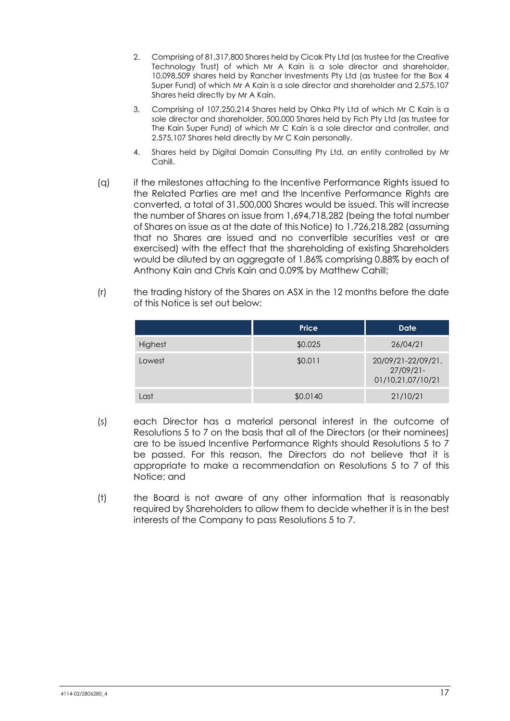- 2. Comprising of 81,317,800 Shares held by Cicak Pty Ltd (as trustee for the Creative Technology Trust) of which Mr A Kain is a sole director and shareholder, 10,098,509 shares held by Rancher Investments Pty Ltd (as trustee for the Box 4 Super Fund) of which Mr A Kain is a sole director and shareholder and 2,575,107 Shares held directly by Mr A Kain.
- 3. Comprising of 107,250,214 Shares held by Ohka Pty Ltd of which Mr C Kain is a sole director and shareholder, 500,000 Shares held by Fich Pty Ltd (as trustee for The Kain Super Fund) of which Mr C Kain is a sole director and controller, and 2,575,107 Shares held directly by Mr C Kain personally.
- 4. Shares held by Digital Domain Consulting Pty Ltd, an entity controlled by Mr Cahill.
- (q) if the milestones attaching to the Incentive Performance Rights issued to the Related Parties are met and the Incentive Performance Rights are converted, a total of 31,500,000 Shares would be issued. This will increase the number of Shares on issue from 1,694,718,282 (being the total number of Shares on issue as at the date of this Notice) to 1,726,218,282 (assuming that no Shares are issued and no convertible securities vest or are exercised) with the effect that the shareholding of existing Shareholders would be diluted by an aggregate of 1.86% comprising 0.88% by each of Anthony Kain and Chris Kain and 0.09% by Matthew Cahill;
- (r) the trading history of the Shares on ASX in the 12 months before the date of this Notice is set out below:

|         | <b>Price</b> | <b>Date</b>                                             |
|---------|--------------|---------------------------------------------------------|
| Highest | \$0.025      | 26/04/21                                                |
| Lowest  | \$0.011      | 20/09/21-22/09/21,<br>$27/09/21 -$<br>01/10,21,07/10/21 |
| Last    | \$0.0140     | 21/10/21                                                |

- (s) each Director has a material personal interest in the outcome of Resolutions 5 to 7 on the basis that all of the Directors (or their nominees) are to be issued Incentive Performance Rights should Resolutions 5 to 7 be passed. For this reason, the Directors do not believe that it is appropriate to make a recommendation on Resolutions 5 to 7 of this Notice; and
- (t) the Board is not aware of any other information that is reasonably required by Shareholders to allow them to decide whether it is in the best interests of the Company to pass Resolutions 5 to 7.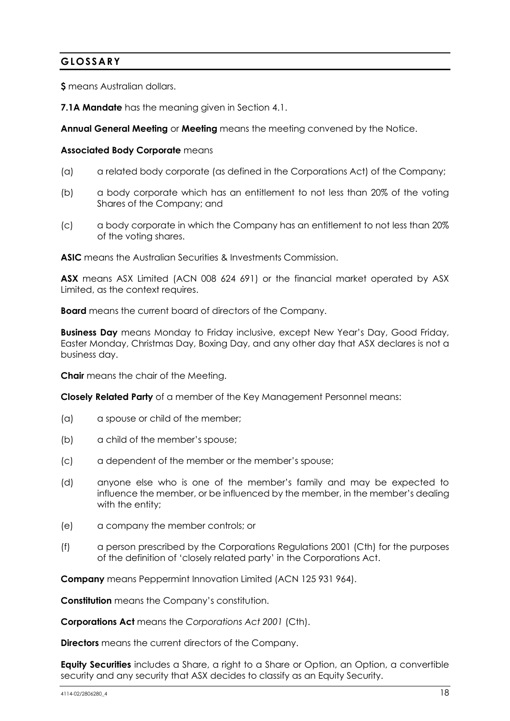# **GLOSSARY**

**\$** means Australian dollars.

**7.1A Mandate** has the meaning given in Section [4.1.](#page-7-0)

**Annual General Meeting** or **Meeting** means the meeting convened by the Notice.

#### **Associated Body Corporate** means

- (a) a related body corporate (as defined in the Corporations Act) of the Company;
- (b) a body corporate which has an entitlement to not less than 20% of the voting Shares of the Company; and
- (c) a body corporate in which the Company has an entitlement to not less than 20% of the voting shares.

**ASIC** means the Australian Securities & Investments Commission.

**ASX** means ASX Limited (ACN 008 624 691) or the financial market operated by ASX Limited, as the context requires.

**Board** means the current board of directors of the Company.

**Business Day** means Monday to Friday inclusive, except New Year's Day, Good Friday, Easter Monday, Christmas Day, Boxing Day, and any other day that ASX declares is not a business day.

**Chair** means the chair of the Meeting.

**Closely Related Party** of a member of the Key Management Personnel means:

- (a) a spouse or child of the member;
- (b) a child of the member's spouse;
- (c) a dependent of the member or the member's spouse;
- (d) anyone else who is one of the member's family and may be expected to influence the member, or be influenced by the member, in the member's dealing with the entity;
- (e) a company the member controls; or
- (f) a person prescribed by the Corporations Regulations 2001 (Cth) for the purposes of the definition of 'closely related party' in the Corporations Act.

**Company** means Peppermint Innovation Limited (ACN 125 931 964).

**Constitution** means the Company's constitution.

**Corporations Act** means the *Corporations Act 2001* (Cth).

**Directors** means the current directors of the Company.

**Equity Securities** includes a Share, a right to a Share or Option, an Option, a convertible security and any security that ASX decides to classify as an Equity Security.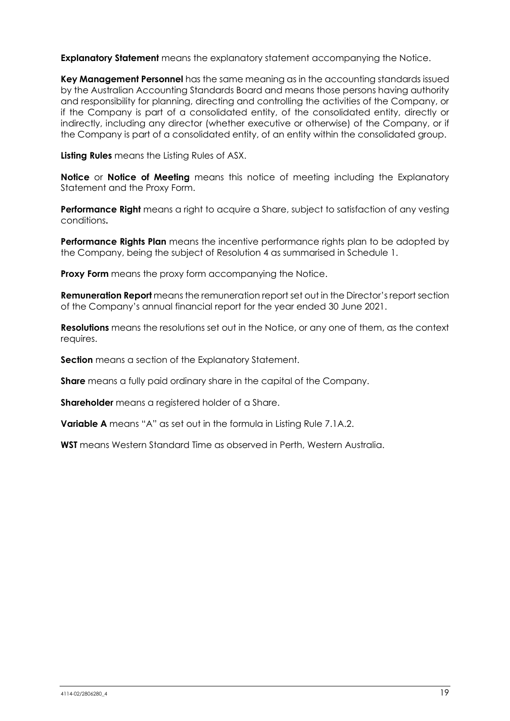**Explanatory Statement** means the explanatory statement accompanying the Notice.

**Key Management Personnel** has the same meaning as in the accounting standards issued by the Australian Accounting Standards Board and means those persons having authority and responsibility for planning, directing and controlling the activities of the Company, or if the Company is part of a consolidated entity, of the consolidated entity, directly or indirectly, including any director (whether executive or otherwise) of the Company, or if the Company is part of a consolidated entity, of an entity within the consolidated group.

**Listing Rules** means the Listing Rules of ASX.

**Notice** or **Notice of Meeting** means this notice of meeting including the Explanatory Statement and the Proxy Form.

**Performance Right** means a right to acquire a Share, subject to satisfaction of any vesting conditions**.**

**Performance Rights Plan** means the incentive performance rights plan to be adopted by the Company, being the subject of Resolution 4 as summarised in Schedule 1.

**Proxy Form** means the proxy form accompanying the Notice.

**Remuneration Report** means the remuneration report set out in the Director's report section of the Company's annual financial report for the year ended 30 June 2021.

**Resolutions** means the resolutions set out in the Notice, or any one of them, as the context requires.

**Section** means a section of the Explanatory Statement.

**Share** means a fully paid ordinary share in the capital of the Company.

**Shareholder** means a registered holder of a Share.

**Variable A** means "A" as set out in the formula in Listing Rule 7.1A.2.

**WST** means Western Standard Time as observed in Perth, Western Australia.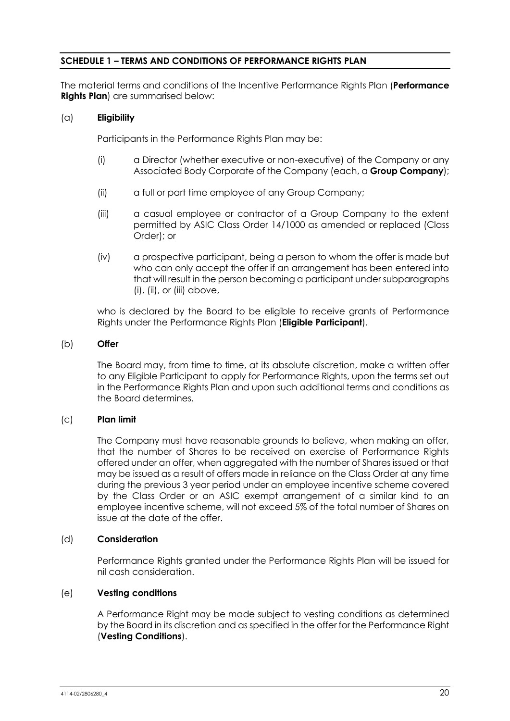# **SCHEDULE 1 – TERMS AND CONDITIONS OF PERFORMANCE RIGHTS PLAN**

The material terms and conditions of the Incentive Performance Rights Plan (**Performance Rights Plan**) are summarised below:

#### (a) **Eligibility**

Participants in the Performance Rights Plan may be:

- (i) a Director (whether executive or non-executive) of the Company or any Associated Body Corporate of the Company (each, a **Group Company**);
- (ii) a full or part time employee of any Group Company;
- (iii) a casual employee or contractor of a Group Company to the extent permitted by ASIC Class Order 14/1000 as amended or replaced (Class Order); or
- (iv) a prospective participant, being a person to whom the offer is made but who can only accept the offer if an arrangement has been entered into that will result in the person becoming a participant under subparagraphs  $(i)$ ,  $(ii)$ , or  $(iii)$  above,

who is declared by the Board to be eligible to receive grants of Performance Rights under the Performance Rights Plan (**Eligible Participant**).

#### (b) **Offer**

The Board may, from time to time, at its absolute discretion, make a written offer to any Eligible Participant to apply for Performance Rights, upon the terms set out in the Performance Rights Plan and upon such additional terms and conditions as the Board determines.

#### (c) **Plan limit**

The Company must have reasonable grounds to believe, when making an offer, that the number of Shares to be received on exercise of Performance Rights offered under an offer, when aggregated with the number of Shares issued or that may be issued as a result of offers made in reliance on the Class Order at any time during the previous 3 year period under an employee incentive scheme covered by the Class Order or an ASIC exempt arrangement of a similar kind to an employee incentive scheme, will not exceed 5% of the total number of Shares on issue at the date of the offer.

#### (d) **Consideration**

Performance Rights granted under the Performance Rights Plan will be issued for nil cash consideration.

#### (e) **Vesting conditions**

A Performance Right may be made subject to vesting conditions as determined by the Board in its discretion and as specified in the offer for the Performance Right (**Vesting Conditions**).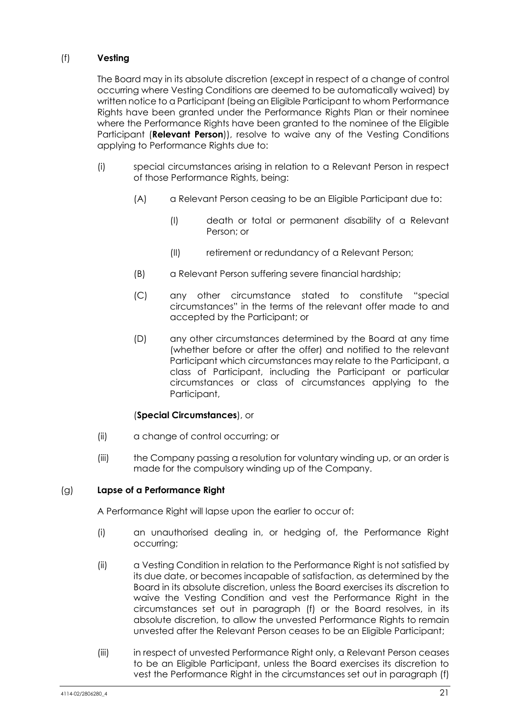# <span id="page-21-0"></span>(f) **Vesting**

The Board may in its absolute discretion (except in respect of a change of control occurring where Vesting Conditions are deemed to be automatically waived) by written notice to a Participant (being an Eligible Participant to whom Performance Rights have been granted under the Performance Rights Plan or their nominee where the Performance Rights have been granted to the nominee of the Eligible Participant (**Relevant Person**)), resolve to waive any of the Vesting Conditions applying to Performance Rights due to:

- (i) special circumstances arising in relation to a Relevant Person in respect of those Performance Rights, being:
	- (A) a Relevant Person ceasing to be an Eligible Participant due to:
		- (I) death or total or permanent disability of a Relevant Person; or
		- (II) retirement or redundancy of a Relevant Person;
	- (B) a Relevant Person suffering severe financial hardship;
	- (C) any other circumstance stated to constitute "special circumstances" in the terms of the relevant offer made to and accepted by the Participant; or
	- (D) any other circumstances determined by the Board at any time (whether before or after the offer) and notified to the relevant Participant which circumstances may relate to the Participant, a class of Participant, including the Participant or particular circumstances or class of circumstances applying to the Participant,

#### (**Special Circumstances**), or

- (ii) a change of control occurring; or
- (iii) the Company passing a resolution for voluntary winding up, or an order is made for the compulsory winding up of the Company.

#### (g) **Lapse of a Performance Right**

A Performance Right will lapse upon the earlier to occur of:

- (i) an unauthorised dealing in, or hedging of, the Performance Right occurring;
- (ii) a Vesting Condition in relation to the Performance Right is not satisfied by its due date, or becomes incapable of satisfaction, as determined by the Board in its absolute discretion, unless the Board exercises its discretion to waive the Vesting Condition and vest the Performance Right in the circumstances set out in paragraph [\(f\)](#page-21-0) or the Board resolves, in its absolute discretion, to allow the unvested Performance Rights to remain unvested after the Relevant Person ceases to be an Eligible Participant;
- (iii) in respect of unvested Performance Right only, a Relevant Person ceases to be an Eligible Participant, unless the Board exercises its discretion to vest the Performance Right in the circumstances set out in paragraph [\(f\)](#page-21-0)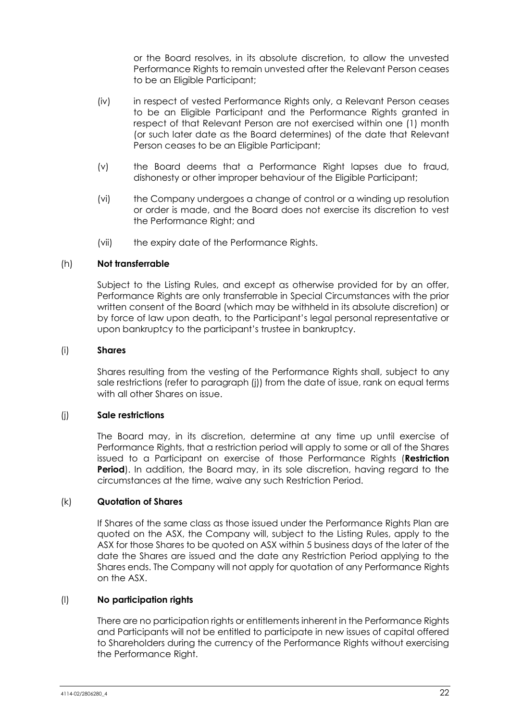or the Board resolves, in its absolute discretion, to allow the unvested Performance Rights to remain unvested after the Relevant Person ceases to be an Eligible Participant;

- (iv) in respect of vested Performance Rights only, a Relevant Person ceases to be an Eligible Participant and the Performance Rights granted in respect of that Relevant Person are not exercised within one (1) month (or such later date as the Board determines) of the date that Relevant Person ceases to be an Eligible Participant;
- (v) the Board deems that a Performance Right lapses due to fraud, dishonesty or other improper behaviour of the Eligible Participant;
- (vi) the Company undergoes a change of control or a winding up resolution or order is made, and the Board does not exercise its discretion to vest the Performance Right; and
- (vii) the expiry date of the Performance Rights.

#### (h) **Not transferrable**

Subject to the Listing Rules, and except as otherwise provided for by an offer, Performance Rights are only transferrable in Special Circumstances with the prior written consent of the Board (which may be withheld in its absolute discretion) or by force of law upon death, to the Participant's legal personal representative or upon bankruptcy to the participant's trustee in bankruptcy.

#### (i) **Shares**

Shares resulting from the vesting of the Performance Rights shall, subject to any sale restrictions (refer to paragraph [\(j\)\)](#page-22-0) from the date of issue, rank on equal terms with all other Shares on issue.

#### <span id="page-22-0"></span>(j) **Sale restrictions**

The Board may, in its discretion, determine at any time up until exercise of Performance Rights, that a restriction period will apply to some or all of the Shares issued to a Participant on exercise of those Performance Rights (**Restriction Period**). In addition, the Board may, in its sole discretion, having regard to the circumstances at the time, waive any such Restriction Period.

#### (k) **Quotation of Shares**

If Shares of the same class as those issued under the Performance Rights Plan are quoted on the ASX, the Company will, subject to the Listing Rules, apply to the ASX for those Shares to be quoted on ASX within 5 business days of the later of the date the Shares are issued and the date any Restriction Period applying to the Shares ends. The Company will not apply for quotation of any Performance Rights on the ASX.

# (l) **No participation rights**

There are no participation rights or entitlements inherent in the Performance Rights and Participants will not be entitled to participate in new issues of capital offered to Shareholders during the currency of the Performance Rights without exercising the Performance Right.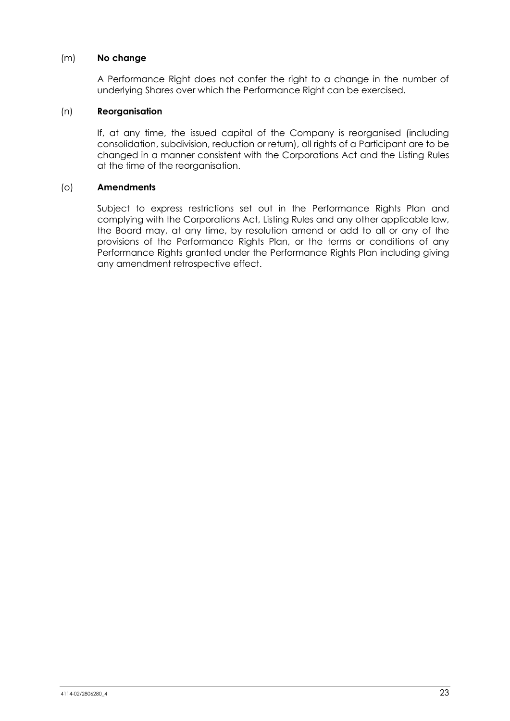#### (m) **No change**

A Performance Right does not confer the right to a change in the number of underlying Shares over which the Performance Right can be exercised.

#### (n) **Reorganisation**

If, at any time, the issued capital of the Company is reorganised (including consolidation, subdivision, reduction or return), all rights of a Participant are to be changed in a manner consistent with the Corporations Act and the Listing Rules at the time of the reorganisation.

#### (o) **Amendments**

Subject to express restrictions set out in the Performance Rights Plan and complying with the Corporations Act, Listing Rules and any other applicable law, the Board may, at any time, by resolution amend or add to all or any of the provisions of the Performance Rights Plan, or the terms or conditions of any Performance Rights granted under the Performance Rights Plan including giving any amendment retrospective effect.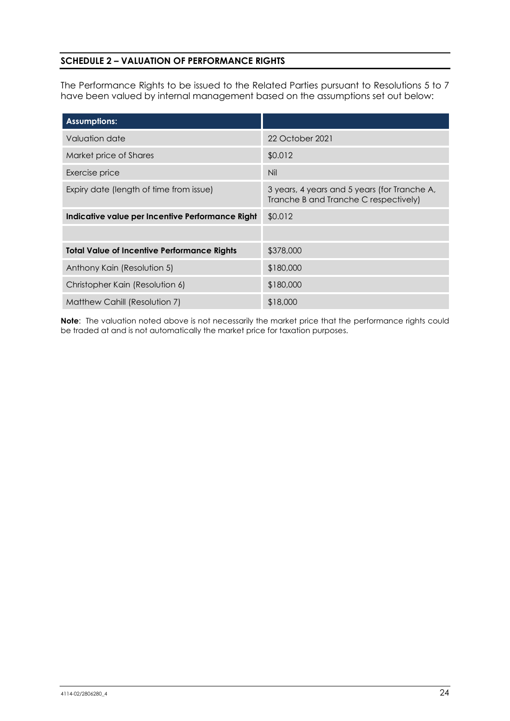# **SCHEDULE 2 – VALUATION OF PERFORMANCE RIGHTS**

The Performance Rights to be issued to the Related Parties pursuant to Resolutions 5 to 7 have been valued by internal management based on the assumptions set out below:

| <b>Assumptions:</b>                                |                                                                                       |
|----------------------------------------------------|---------------------------------------------------------------------------------------|
| Valuation date                                     | 22 October 2021                                                                       |
| Market price of Shares                             | \$0.012                                                                               |
| Exercise price                                     | Nil                                                                                   |
| Expiry date (length of time from issue)            | 3 years, 4 years and 5 years (for Tranche A,<br>Tranche B and Tranche C respectively) |
| Indicative value per Incentive Performance Right   | \$0.012                                                                               |
|                                                    |                                                                                       |
| <b>Total Value of Incentive Performance Rights</b> | \$378,000                                                                             |
| Anthony Kain (Resolution 5)                        | \$180,000                                                                             |
| Christopher Kain (Resolution 6)                    | \$180,000                                                                             |
| Matthew Cahill (Resolution 7)                      | \$18,000                                                                              |

**Note**: The valuation noted above is not necessarily the market price that the performance rights could be traded at and is not automatically the market price for taxation purposes.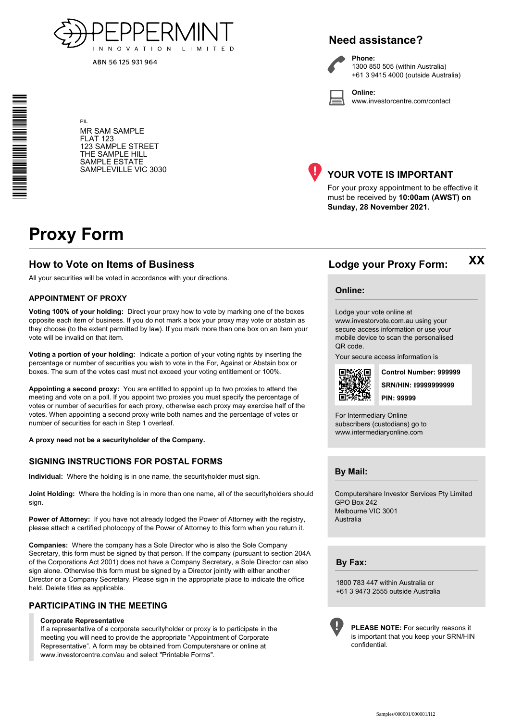

ABN 56 125 931 964

# **Need assistance?**

**Phone:**

**Online:**



1300 850 505 (within Australia) +61 3 9415 4000 (outside Australia)

www.investorcentre.com/contact

MR SAM SAMPLE FLAT 123 123 SAMPLE STREET THE SAMPLE HILL SAMPLE ESTATE SAMPLEVILLE VIC 3030



## **YOUR VOTE IS IMPORTANT**

For your proxy appointment to be effective it must be received by **10:00am (AWST) on Sunday, 28 November 2021.**

# **Proxy Form**

PIL

#### **How to Vote on Items of Business Lodge your Proxy Form:**

All your securities will be voted in accordance with your directions.

#### **APPOINTMENT OF PROXY**

**Voting 100% of your holding:** Direct your proxy how to vote by marking one of the boxes opposite each item of business. If you do not mark a box your proxy may vote or abstain as they choose (to the extent permitted by law). If you mark more than one box on an item your vote will be invalid on that item.

**Voting a portion of your holding:** Indicate a portion of your voting rights by inserting the percentage or number of securities you wish to vote in the For, Against or Abstain box or boxes. The sum of the votes cast must not exceed your voting entitlement or 100%.

**Appointing a second proxy:** You are entitled to appoint up to two proxies to attend the meeting and vote on a poll. If you appoint two proxies you must specify the percentage of votes or number of securities for each proxy, otherwise each proxy may exercise half of the votes. When appointing a second proxy write both names and the percentage of votes or number of securities for each in Step 1 overleaf.

**A proxy need not be a securityholder of the Company.**

#### **SIGNING INSTRUCTIONS FOR POSTAL FORMS**

**Individual:** Where the holding is in one name, the securityholder must sign.

**Joint Holding:** Where the holding is in more than one name, all of the securityholders should sign.

**Power of Attorney:** If you have not already lodged the Power of Attorney with the registry, please attach a certified photocopy of the Power of Attorney to this form when you return it.

**Companies:** Where the company has a Sole Director who is also the Sole Company Secretary, this form must be signed by that person. If the company (pursuant to section 204A of the Corporations Act 2001) does not have a Company Secretary, a Sole Director can also sign alone. Otherwise this form must be signed by a Director jointly with either another Director or a Company Secretary. Please sign in the appropriate place to indicate the office held. Delete titles as applicable.

#### **PARTICIPATING IN THE MEETING**

#### **Corporate Representative**

If a representative of a corporate securityholder or proxy is to participate in the meeting you will need to provide the appropriate "Appointment of Corporate Representative". A form may be obtained from Computershare or online at www.investorcentre.com/au and select "Printable Forms".

#### **Online:**

Lodge your vote online at www.investorvote.com.au using your

secure access information or use your mobile device to scan the personalised QR code.

Your secure access information is



**SRN/HIN: I9999999999 Control Number: 999999 PIN: 99999**

**XX**

For Intermediary Online subscribers (custodians) go to www.intermediaryonline.com

**By Mail:**

Computershare Investor Services Pty Limited GPO Box 242 Melbourne VIC 3001 Australia

**By Fax:**

1800 783 447 within Australia or +61 3 9473 2555 outside Australia



**PLEASE NOTE:** For security reasons it is important that you keep your SRN/HIN confidential.